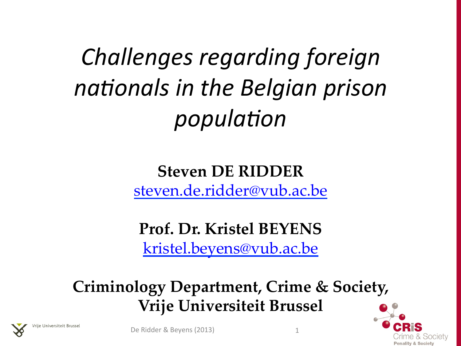*Challenges regarding foreign nationals in the Belgian prison population* 

> **Steven DE RIDDER** steven.de.ridder@vub.ac.be

**Prof. Dr. Kristel BEYENS**  kristel.beyens@vub.ac.be

**Criminology Department, Crime & Society, Vrije Universiteit Brussel** 





je Universiteit Brusse

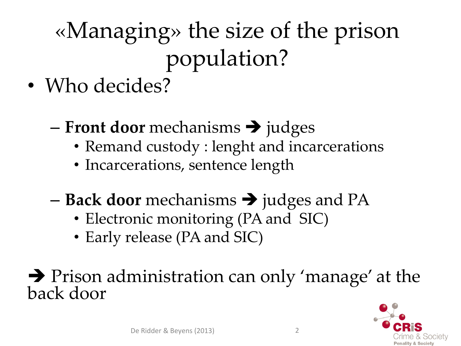### «Managing» the size of the prison population?

- Who decides?
	- $-$  **Front door** mechanisms  $\rightarrow$  judges
		- Remand custody : lenght and incarcerations
		- Incarcerations, sentence length
	- **Back door** mechanisms  $\rightarrow$  judges and PA
		- Electronic monitoring (PA and SIC)
		- Early release (PA and SIC)

# • Prison administration can only 'manage' at the back door

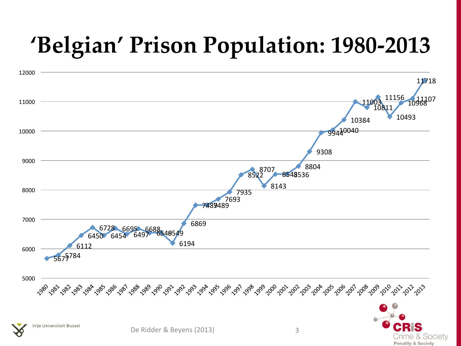#### **'Belgian' Prison Population: 1980-2013**



Crime & Society **Penality & Society**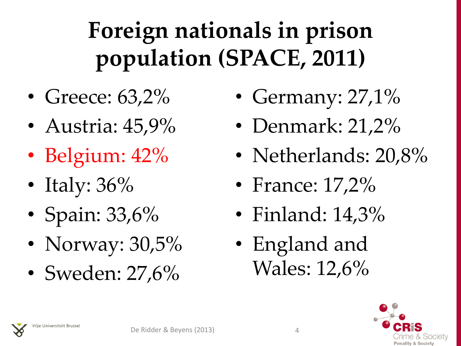### **Foreign nationals in prison population (SPACE, 2011)**

- Greece: 63,2%
- Austria: 45,9%
- Belgium: 42%
- Italy: 36%
- Spain: 33,6%
- Norway: 30,5%
- Sweden: 27,6%
- Germany:  $27,1\%$
- Denmark: 21,2%
- Netherlands: 20,8%
- France: 17,2%
- Finland: 14,3%
- England and Wales: 12,6%





4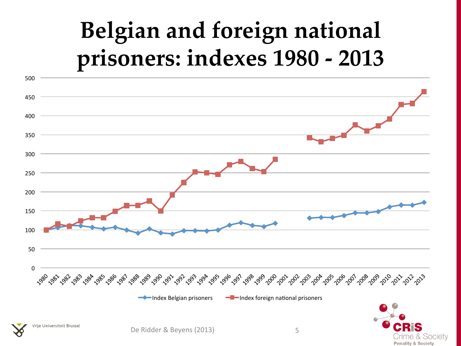#### **Belgian and foreign national prisoners: indexes 1980 - 2013**

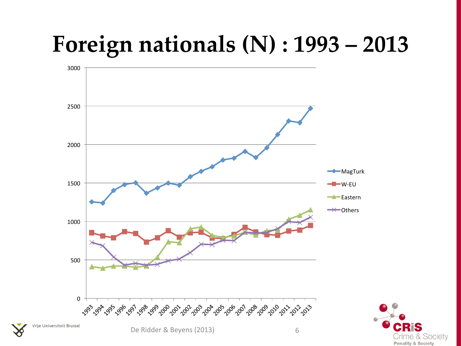#### **Foreign nationals (N) : 1993 – 2013**



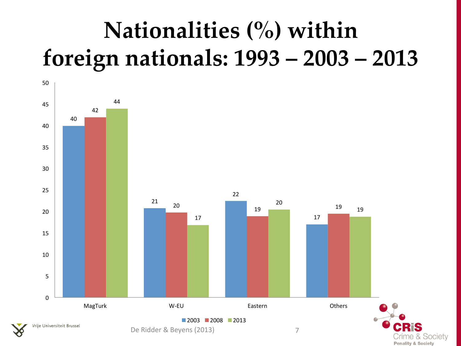#### **Nationalities (%) within foreign nationals: 1993 – 2003 – 2013**

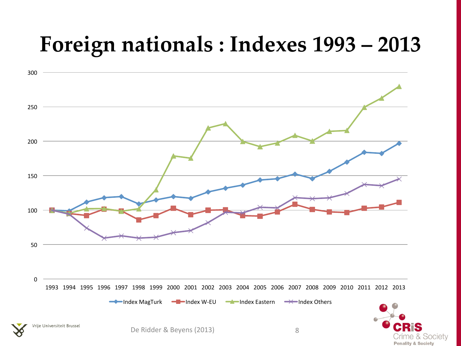#### **Foreign nationals : Indexes 1993 – 2013**



Crime & Society **Penality & Society**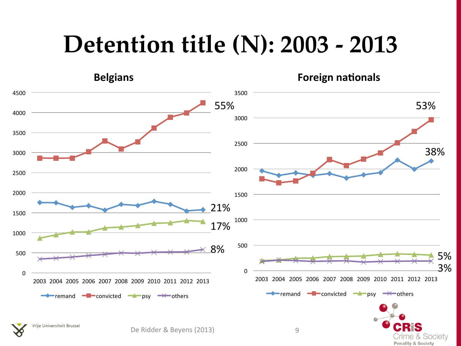#### **Detention title (N): 2003 - 2013**

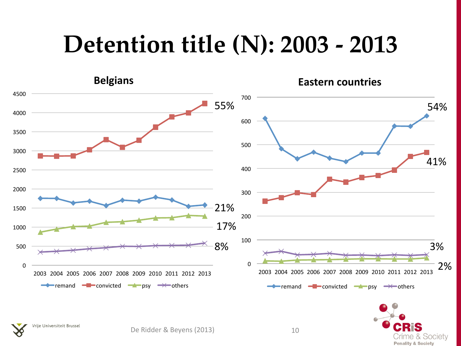#### **Detention title (N): 2003 - 2013**

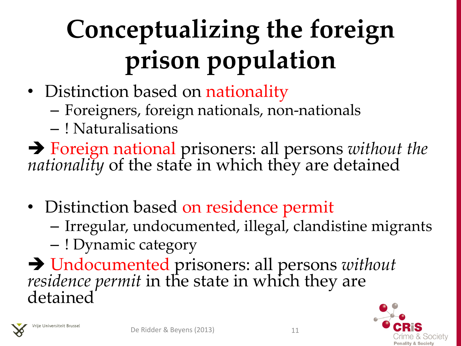## **Conceptualizing the foreign** prison population

- Distinction based on nationality
	- Foreigners, foreign nationals, non-nationals
	- ! Naturalisations

è Foreign national prisoners: all persons *without the nationality* of the state in which they are detained 

- Distinction based on residence permit
	- Irregular, undocumented, illegal, clandistine migrants
	- ! Dynamic category

è Undocumented prisoners: all persons *without residence permit* in the state in which they are detained



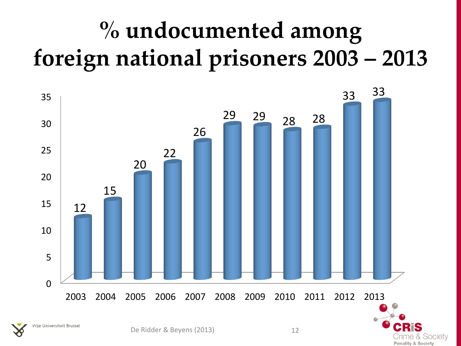#### **% undocumented among foreign national prisoners 2003 – 2013**



rime & Society **Penality & Society**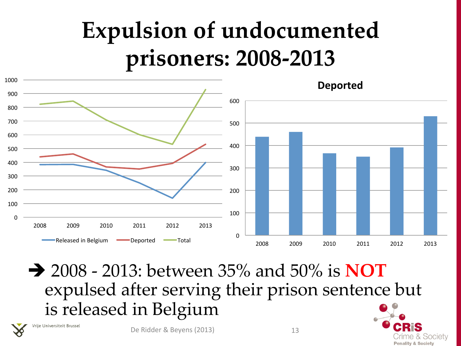#### **Expulsion of undocumented prisoners: 2008-2013**



è 2008 - 2013: between 35% and 50% is **NOT** expulsed after serving their prison sentence but is released in Belgium

Vrije Universiteit Brussel

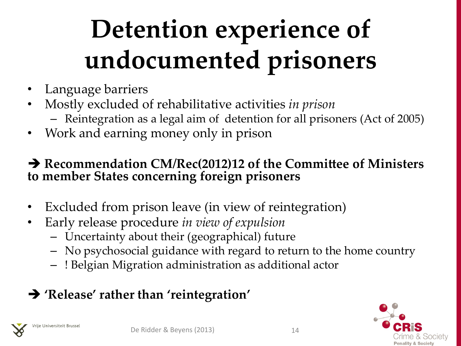## **Detention experience of undocumented prisoners**

- Language barriers
- Mostly excluded of rehabilitative activities *in prison* 
	- Reintegration as a legal aim of detention for all prisoners (Act of 2005)
- Work and earning money only in prison

#### $\rightarrow$  **Recommendation CM/Rec(2012)12 of the Committee of Ministers to member States concerning foreign prisoners**

- Excluded from prison leave (in view of reintegration)
- Early release procedure *in view of expulsion* 
	- Uncertainty about their (geographical) future
	- No psychosocial guidance with regard to return to the home country
	- ! Belgian Migration administration as additional actor

#### $→$  **'Release' rather than 'reintegration'**